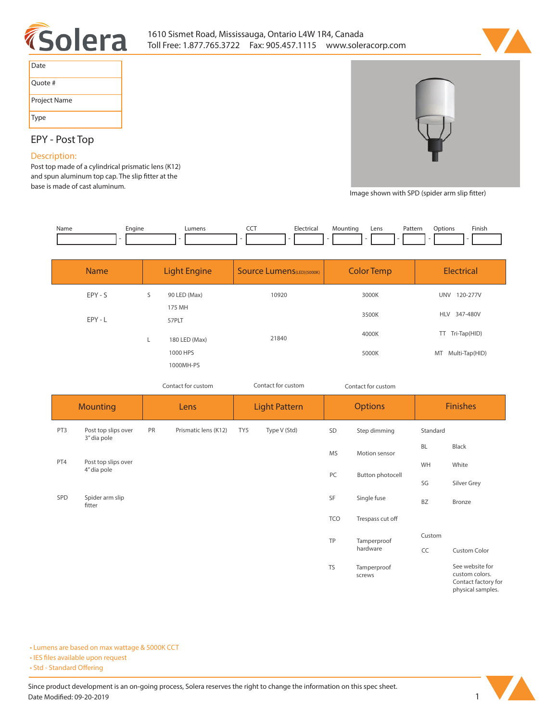



| Date         |
|--------------|
| Quote #      |
| Project Name |
| <b>Type</b>  |

# **EPY - Post Top**

## **Description:**

**Post top made of a cylindrical prismatic lens (K12)** and spun aluminum top cap. The slip fitter at the **base is made of cast aluminum.**

Image shown with SPD (spider arm slip fitter)

*Contact for custom*

| Name | Engine | Lumens | ---<br>-- | Electrical | Mountina | Lens | Pattern | Dptions | Finish |
|------|--------|--------|-----------|------------|----------|------|---------|---------|--------|
|      |        |        |           |            |          |      |         |         |        |

| <b>Name</b> | <b>Light Engine</b> |                       | <b>Source Lumens</b> (LED)(5000K) | <b>Color Temp</b> | <b>Electrical</b>      |  |
|-------------|---------------------|-----------------------|-----------------------------------|-------------------|------------------------|--|
| EPY - S     | S                   | 90 LED (Max)          | 10920                             | 3000K             | <b>UNV</b><br>120-277V |  |
| EPY - L     |                     | 175 MH<br>57PLT       |                                   | 3500K             | HLV 347-480V           |  |
|             |                     | 180 LED (Max)         | 21840                             | 4000K             | TT Tri-Tap(HID)        |  |
|             |                     | 1000 HPS<br>1000MH-PS |                                   | 5000K             | MT Multi-Tap(HID)      |  |

*Contact for custom Contact for custom*

|     | <b>Mounting</b>                    |    | Lens                 |     | <b>Light Pattern</b> |                  | <b>Options</b>        |             | <b>Finishes</b>                                          |  |
|-----|------------------------------------|----|----------------------|-----|----------------------|------------------|-----------------------|-------------|----------------------------------------------------------|--|
| PT3 | Post top slips over<br>3" dia pole | PR | Prismatic lens (K12) | TY5 | Type V (Std)         | SD               | Step dimming          | Standard    |                                                          |  |
|     |                                    |    |                      |     |                      | <b>MS</b>        | Motion sensor         | <b>BL</b>   | Black                                                    |  |
| PT4 | Post top slips over<br>4" dia pole |    |                      |     |                      | PC               | WH                    | White       |                                                          |  |
|     |                                    |    |                      |     |                      | Button photocell | SG                    | Silver Grey |                                                          |  |
| SPD | Spider arm slip<br>fitter          |    |                      |     |                      | SF               | Single fuse           | <b>BZ</b>   | Bronze                                                   |  |
|     |                                    |    |                      |     |                      | <b>TCO</b>       | Trespass cut off      |             |                                                          |  |
|     |                                    |    |                      |     |                      | TP               | Tamperproof           | Custom      |                                                          |  |
|     |                                    |    |                      |     |                      |                  | hardware              | CC          | <b>Custom Color</b>                                      |  |
|     |                                    |    |                      |     |                      | <b>TS</b>        | Tamperproof<br>screws |             | See website for<br>custom colors.<br>Contact factory for |  |

**• Lumens are based on max wattage & 5000K CCT**

**• IES files available upon request** 

• Std - Standard Offering



**physical samples.**